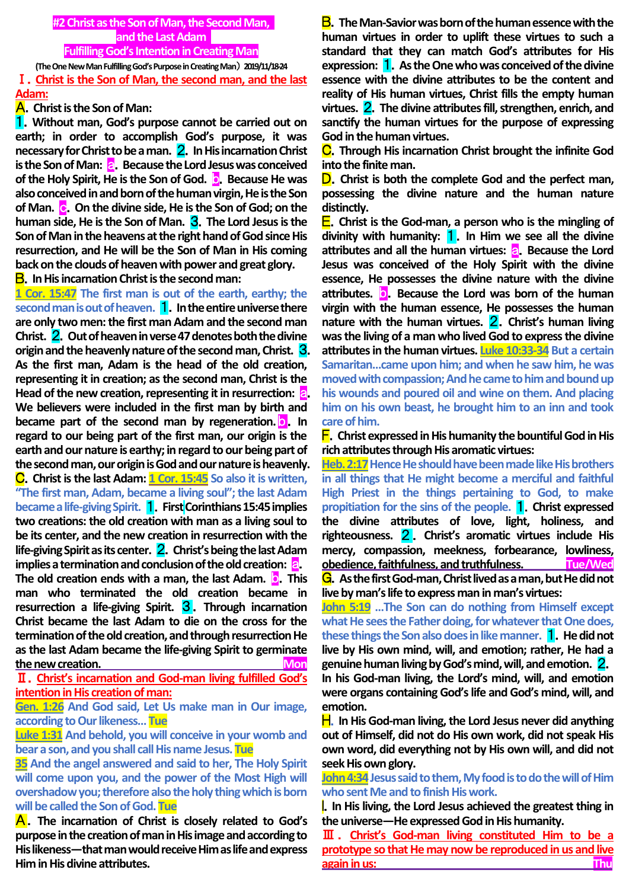## **#2 Christ as the Son of Man, the Second Man, and the Last Adam Fulfilling God's Intention in Creating Man**

**(The One New Man Fulfilling God's Purpose in Creating Man**) **2019/11/18-24** Ⅰ.**Christ is the Son of Man, the second man, and the last** 

## **Adam:**

## A.**Christ is the Son of Man:**

1.**Without man, God's purpose cannot be carried out on earth; in order to accomplish God's purpose, it was necessary for Christ to be a man.** 2.**In His incarnation Christ is the Son of Man: <b>a.** Because the Lord Jesus was conceived **of the Holy Spirit, He is the Son of God.** b.**Because He was also conceived in and born of the human virgin, He is the Son of Man.** c.**On the divine side, He is the Son of God; on the human side, He is the Son of Man.** 3.**The Lord Jesus is the Son of Man in the heavens at the right hand of God since His resurrection, and He will be the Son of Man in His coming back on the clouds of heaven with power and great glory.**

# B.**In His incarnation Christ is the second man:**

**1 Cor. 15:47 The first man is out of the earth, earthy; the second man is out of heaven.** 1.**In the entire universe there are only two men: the first man Adam and the second man Christ.** 2.**Out of heaven in verse 47 denotes both the divine origin and the heavenly nature of the second man, Christ.** 3. **As the first man, Adam is the head of the old creation, representing it in creation; as the second man, Christ is the Head of the new creation, representing it in resurrection:** a. **We believers were included in the first man by birth and became part of the second man by regeneration. <b>D.** In **regard to our being part of the first man, our origin is the earth and our nature is earthy; in regard to our being part of the second man, our origin is God and our nature is heavenly.** C.**Christ is the last Adam: 1 Cor. 15:45 So also it is written, "The first man, Adam, became a living soul"; the last Adam became a life-giving Spirit. 1.** First Corinthians 15:45 implies **two creations: the old creation with man as a living soul to be its center, and the new creation in resurrection with the life-giving Spirit as its center.** 2.**Christ's being the last Adam implies a termination and conclusion of the old creation: <b>a. The old creation ends with a man, the last Adam.** b.**This man who terminated the old creation became in resurrection a life-giving Spirit.** 3 . **Through incarnation Christ became the last Adam to die on the cross for the termination of the old creation, and through resurrection He as the last Adam became the life-giving Spirit to germinate**  the new creation.

Ⅱ.**Christ's incarnation and God-man living fulfilled God's intention in His creation of man:**

**Gen. 1:26 And God said, Let Us make man in Our image, according to Our likeness… Tue**

**Luke 1:31 And behold, you will conceive in your womb and bear a son, and you shall call His name Jesus. Tue**

**35 And the angel answered and said to her, The Holy Spirit will come upon you, and the power of the Most High will overshadow you; therefore also the holy thing which is born will be called the Son of God. Tue**

A.**The incarnation of Christ is closely related to God's purpose in the creation of man in His image and according to His likeness—that man would receive Him as life and express Him in His divine attributes.**

B.**The Man-Savior was born of the human essence with the human virtues in order to uplift these virtues to such a standard that they can match God's attributes for His expression:** 1.**As the One who was conceived of the divine essence with the divine attributes to be the content and reality of His human virtues, Christ fills the empty human virtues.** 2.**The divine attributes fill, strengthen, enrich, and sanctify the human virtues for the purpose of expressing God in the human virtues.**

C.**Through His incarnation Christ brought the infinite God into the finite man.**

D.**Christ is both the complete God and the perfect man, possessing the divine nature and the human nature distinctly.**

E.**Christ is the God-man, a person who is the mingling of divinity with humanity:** 1.**In Him we see all the divine attributes and all the human virtues:** a.**Because the Lord Jesus was conceived of the Holy Spirit with the divine essence, He possesses the divine nature with the divine attributes.** b.**Because the Lord was born of the human virgin with the human essence, He possesses the human nature with the human virtues.** 2.**Christ's human living was the living of a man who lived God to express the divine attributes in the human virtues. Luke 10:33-34 But a certain Samaritan…came upon him; and when he saw him, he was moved with compassion; And he came to him and bound up his wounds and poured oil and wine on them. And placing him on his own beast, he brought him to an inn and took care of him.**

F.**Christ expressed in His humanity the bountiful God in His rich attributes through His aromatic virtues:**

**Heb. 2:17 Hence He should have been made like His brothers in all things that He might become a merciful and faithful High Priest in the things pertaining to God, to make propitiation for the sins of the people.** 1.**Christ expressed the divine attributes of love, light, holiness, and righteousness.** 2 . **Christ's aromatic virtues include His mercy, compassion, meekness, forbearance, lowliness, obedience, faithfulness, and truthfulness. Tue/Wed** G.**As the first God-man, Christ lived as a man, but He did not** 

**live by man's life to express man in man's virtues:**

**John 5:19 …The Son can do nothing from Himself except what He sees the Father doing, for whatever that One does, these things the Son also does in like manner.** 1.**He did not live by His own mind, will, and emotion; rather, He had a genuine human living by God's mind, will, and emotion.** 2. **In his God-man living, the Lord's mind, will, and emotion were organs containing God's life and God's mind, will, and emotion.**

H.**In His God-man living, the Lord Jesus never did anything out of Himself, did not do His own work, did not speak His own word, did everything not by His own will, and did not seek His own glory.**

**John 4:34** Jesus said to them, My food is to do the will of Him **who sent Me and to finish His work.**

I.**In His living, the Lord Jesus achieved the greatest thing in the universe—He expressed God in His humanity.**

Ⅲ . **Christ's God-man living constituted Him to be a prototype so that He may now be reproduced in us and live again in us: Thu**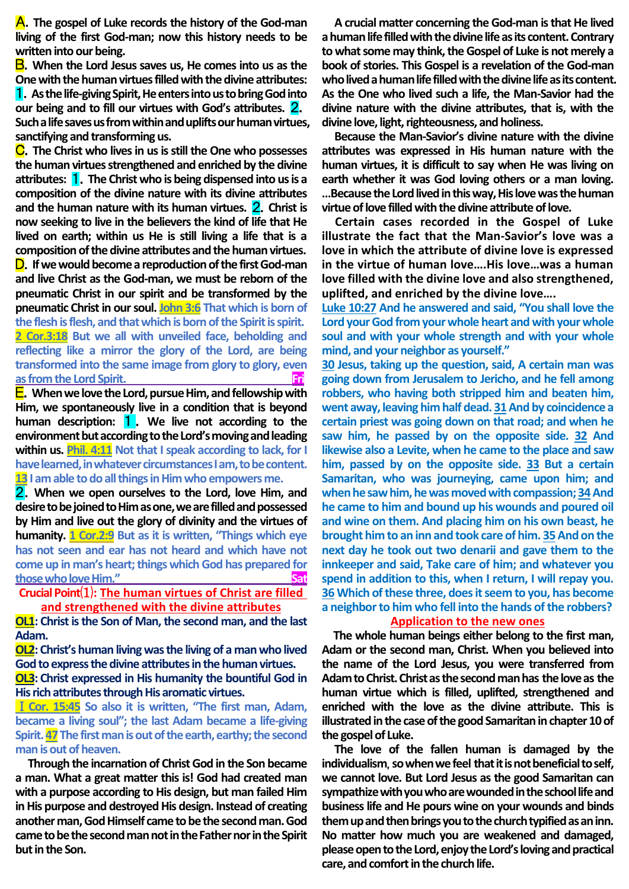A.**The gospel of Luke records the history of the God-man living of the first God-man; now this history needs to be written into our being.**

B.**When the Lord Jesus saves us, He comes into us as the One with the human virtues filled with the divine attributes:** 1.**As the life-giving Spirit, He enters into us to bring God into our being and to fill our virtues with God's attributes.** 2. **Such a life saves us from within and uplifts our human virtues, sanctifying and transforming us.**

C.**The Christ who lives in us is still the One who possesses the human virtues strengthened and enriched by the divine attributes:** 1.**The Christ who is being dispensed into us is a composition of the divine nature with its divine attributes and the human nature with its human virtues.** 2.**Christ is now seeking to live in the believers the kind of life that He lived on earth; within us He is still living a life that is a composition of the divine attributes and the human virtues.** D.**If we would become a reproduction of the first God-man and live Christ as the God-man, we must be reborn of the pneumatic Christ in our spirit and be transformed by the pneumatic Christ in our soul. John 3:6 That which is born of the flesh is flesh, and that which is born of the Spirit is spirit. 2 Cor.3:18 But we all with unveiled face, beholding and reflecting like a mirror the glory of the Lord, are being transformed into the same image from glory to glory, even as from the Lord Spirit.** The contract of the state of  $\mathbf{F}$ 

E.**When we love the Lord, pursue Him, and fellowship with Him, we spontaneously live in a condition that is beyond human description:** 1 . **We live not according to the environment but according to the Lord's moving and leading within us. Phil. 4:11 Not that I speak according to lack, for I have learned, in whatever circumstances I am, to be content. 13 I am able to do all things in Him who empowers me.**

2.**When we open ourselves to the Lord, love Him, and desire to be joined to Him as one, we are filled and possessed by Him and live out the glory of divinity and the virtues of humanity. 1 Cor.2:9 But as it is written, "Things which eye has not seen and ear has not heard and which have not come up in man's heart; things which God has prepared for those who love Him."** 

# **Crucial Point**⑴**: The human virtues of Christ are filled and strengthened with the divine attributes**

**OL1: Christ is the Son of Man, the second man, and the last Adam.**

**OL2: Christ's human living was the living of a man who lived God to express the divine attributes in the human virtues. OL3: Christ expressed in His humanity the bountiful God in His rich attributes through His aromatic virtues.**

Ⅰ**Cor. 15:45 So also it is written, "The first man, Adam, became a living soul"; the last Adam became a life-giving**  Spirit. 47 The first man is out of the earth, earthy; the second **man is out of heaven.**

**Through the incarnation of Christ God in the Son became a man. What a great matter this is! God had created man with a purpose according to His design, but man failed Him in His purpose and destroyed His design. Instead of creating another man, God Himself came to be the second man. God came to be the second man not in the Father nor in the Spirit but in the Son.**

**A crucial matter concerning the God-man is that He lived a human life filled with the divine life as its content. Contrary to what some may think, the Gospel of Luke is not merely a book of stories. This Gospel is a revelation of the God-man who lived a human life filled with the divine life as its content. As the One who lived such a life, the Man-Savior had the divine nature with the divine attributes, that is, with the divine love, light, righteousness, and holiness.**

**Because the Man-Savior's divine nature with the divine attributes was expressed in His human nature with the human virtues, it is difficult to say when He was living on earth whether it was God loving others or a man loving. …Because the Lord lived in this way, His love was the human virtue of love filled with the divine attribute of love.**

**Certain cases recorded in the Gospel of Luke illustrate the fact that the Man-Savior's love was a love in which the attribute of divine love is expressed in the virtue of human love….His love…was a human love filled with the divine love and also strengthened, uplifted, and enriched by the divine love….**

**Luke 10:27 And he answered and said, "You shall love the Lord your God from your whole heart and with your whole soul and with your whole strength and with your whole mind, and your neighbor as yourself."**

**30 Jesus, taking up the question, said, A certain man was going down from Jerusalem to Jericho, and he fell among robbers, who having both stripped him and beaten him,**  went away, leaving him half dead. 31 And by coincidence a **certain priest was going down on that road; and when he saw him, he passed by on the opposite side. 32 And likewise also a Levite, when he came to the place and saw him, passed by on the opposite side. 33 But a certain Samaritan, who was journeying, came upon him; and when he saw him, he was moved with compassion; 34And he came to him and bound up his wounds and poured oil and wine on them. And placing him on his own beast, he**  brought him to an inn and took care of him. 35 And on the **next day he took out two denarii and gave them to the innkeeper and said, Take care of him; and whatever you spend in addition to this, when I return, I will repay you. 36Which of these three, does it seem to you, has become a neighbor to him who fell into the hands of the robbers?**

## **Application to the new ones**

**The whole human beings either belong to the first man, Adam or the second man, Christ. When you believed into the name of the Lord Jesus, you were transferred from Adam to Christ. Christ as the second man has the love as the human virtue which is filled, uplifted, strengthened and enriched with the love as the divine attribute. This is illustrated in the case of the good Samaritan in chapter 10 of the gospel of Luke.**

**The love of the fallen human is damaged by the individualism**, **so when wefeel that it is not beneficial to self, we cannot love. But Lord Jesus as the good Samaritan can sympathize with you who are wounded in the school life and business life and He pours wine on your wounds and binds them up and then brings you to the church typified as an inn. No matter how much you are weakened and damaged, pleaseopen to the Lord, enjoy the Lord's loving and practical care, and comfort in the church life.**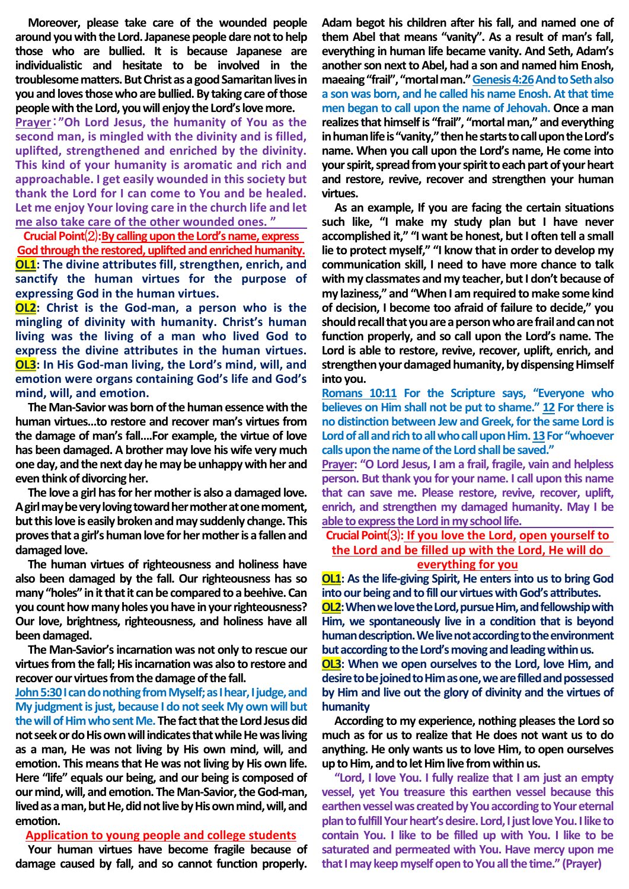**Moreover, please take care of the wounded people around you with the Lord. Japanese people dare not to help those who are bullied. It is because Japanese are individualistic and hesitate to be involved in the troublesome matters. But Christ as a good Samaritan lives in you and loves those who are bullied. By taking care of those people with the Lord, you will enjoy the Lord's love more.**

**Prayer**:**"Oh Lord Jesus, the humanity of You as the second man, is mingled with the divinity and is filled, uplifted, strengthened and enriched by the divinity. This kind of your humanity is aromatic and rich and approachable. I get easily wounded in this society but thank the Lord for I can come to You and be healed. Let me enjoy Your loving care in the church life and let me also take care of the other wounded ones. "**

**Crucial Point**⑵**:By calling upon the Lord's name, express God through the restored, uplifted and enriched humanity. OL1: The divine attributes fill, strengthen, enrich, and sanctify the human virtues for the purpose of expressing God in the human virtues.**

**OL2: Christ is the God-man, a person who is the mingling of divinity with humanity. Christ's human living was the living of a man who lived God to express the divine attributes in the human virtues. OL3: In His God-man living, the Lord's mind, will, and emotion were organs containing God's life and God's mind, will, and emotion.**

**The Man-Savior was born of the human essence with the human virtues…to restore and recover man's virtues from the damage of man's fall….For example, the virtue of love has been damaged. A brother may love his wife very much one day, and the next day he may be unhappy with her and even think of divorcing her.**

**The love a girl has for her mother is also a damaged love. A girl may be very loving toward her mother at one moment, but this love is easily broken and may suddenly change. This proves that a girl's human love for her mother is a fallen and damaged love.**

**The human virtues of righteousness and holiness have also been damaged by the fall. Our righteousness has so many "holes" in it that it can be compared to a beehive. Can you count how many holes you have in your righteousness? Our love, brightness, righteousness, and holiness have all been damaged.**

**The Man-Savior's incarnation was not only to rescue our virtues from the fall; His incarnation was also to restore and recover our virtues from the damage of the fall.**

**John 5:30 I can do nothing from Myself; as I hear, I judge, and My judgment is just, because I do not seek My own will but the will of Him who sent Me. The fact that the Lord Jesus did not seek or do His own will indicates that while He was living as a man, He was not living by His own mind, will, and emotion. This means that He was not living by His own life. Here "life" equals our being, and our being is composed of our mind, will, and emotion. The Man-Savior, the God-man,**  lived as a man, but He, did not live by His own mind, will, and **emotion.**

### **Application to young people and college students**

**Your human virtues have become fragile because of damage caused by fall, and so cannot function properly.** 

**Adam begot his children after his fall, and named one of them Abel that means "vanity". As a result of man's fall, everything in human life became vanity. And Seth, Adam's another son next to Abel, had a son and named him Enosh, maeaing "frail", "mortal man." Genesis 4:26And to Seth also a son was born, and he called his name Enosh. At that time men began to call upon the name of Jehovah. Once a man realizes that himself is "frail", "mortal man," and everything in human life is "vanity," then he starts to call upon the Lord's name. When you call upon the Lord's name, He come into your spirit, spread from your spirit to each part of your heart and restore, revive, recover and strengthen your human virtues.**

**As an example, If you are facing the certain situations such like, "I make my study plan but I have never accomplished it," "I want be honest, but I often tell a small lie to protect myself," "I know that in order to develop my communication skill, I need to have more chance to talk with my classmates and my teacher, but I don't because of my laziness," and "When I am required to make some kind of decision, I become too afraid of failure to decide," you should recall that you are a person who are frail and can not function properly, and so call upon the Lord's name. The Lord is able to restore, revive, recover, uplift, enrich, and strengthen your damaged humanity, by dispensing Himself into you.**

**Romans 10:11 For the Scripture says, "Everyone who believes on Him shall not be put to shame." 12 For there is no distinction between Jew and Greek, for the same Lord is Lord of all and rich to all who call upon Him. 13For "whoever calls upon the name of the Lord shall be saved."**

**Prayer: "O Lord Jesus, I am a frail, fragile, vain and helpless person. But thank you for your name. I call upon this name that can save me. Please restore, revive, recover, uplift, enrich, and strengthen my damaged humanity. May I be able to express the Lordin my school life.** 

## **Crucial Point**⑶**: If you love the Lord, open yourself to the Lord and be filled up with the Lord, He will do everything for you**

**OL1: As the life-giving Spirit, He enters into us to bring God into our being and to fill our virtues with God's attributes. OL2:When we love the Lord, pursue Him, and fellowship with Him, we spontaneously live in a condition that is beyond human description.We live not according to the environment** 

**but according to the Lord's moving and leading within us. OL3: When we open ourselves to the Lord, love Him, and desire to be joined to Him as one, we are filled and possessed by Him and live out the glory of divinity and the virtues of humanity**

**According to my experience, nothing pleases the Lord so much as for us to realize that He does not want us to do anything. He only wants us to love Him, to open ourselves up to Him, and to let Him live from within us.**

**"Lord, I love You. I fully realize that I am just an empty vessel, yet You treasure this earthen vessel because this earthen vessel was created by You according to Your eternal plan to fulfill Your heart's desire. Lord, I just love You. I like to contain You. I like to be filled up with You. I like to be saturated and permeated with You. Have mercy upon me that I may keep myself open to You all the time." (Prayer)**